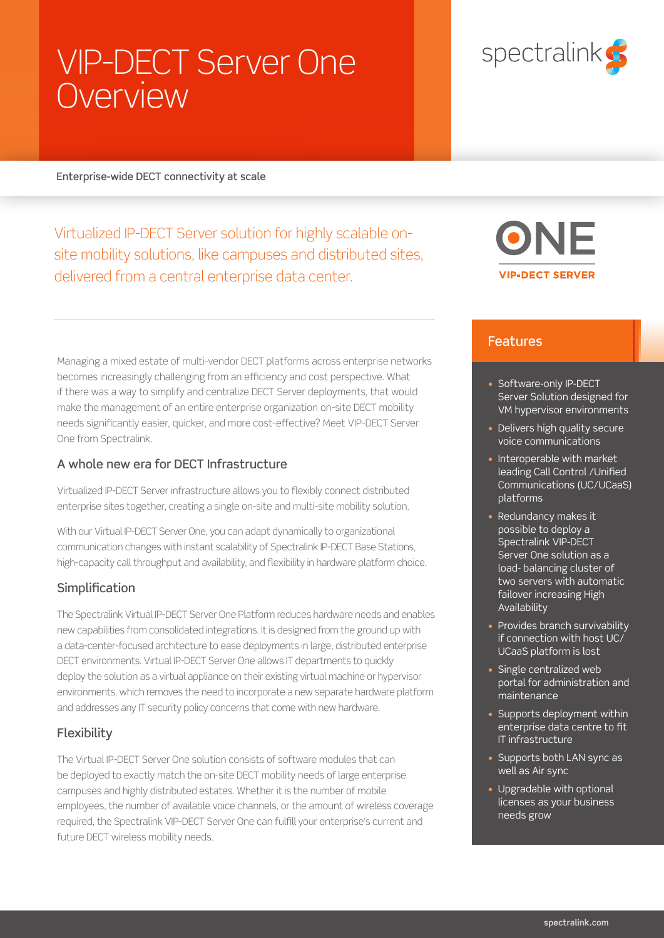# VIP-DECT Server One **Overview**

# spectralink<sup>c</sup>

#### Enterprise-wide DECT connectivity at scale

Virtualized IP-DECT Server solution for highly scalable onsite mobility solutions, like campuses and distributed sites, delivered from a central enterprise data center.

Managing a mixed estate of multi-vendor DECT platforms across enterprise networks becomes increasingly challenging from an efficiency and cost perspective. What if there was a way to simplify and centralize DECT Server deployments, that would make the management of an entire enterprise organization on-site DECT mobility needs significantly easier, quicker, and more cost-effective? Meet VIP-DECT Server One from Spectralink.

## A whole new era for DECT Infrastructure

Virtualized IP-DECT Server infrastructure allows you to flexibly connect distributed enterprise sites together, creating a single on-site and multi-site mobility solution.

With our Virtual IP-DECT Server One, you can adapt dynamically to organizational communication changes with instant scalability of Spectralink IP-DECT Base Stations, high-capacity call throughput and availability, and flexibility in hardware platform choice.

## **Simplification**

The Spectralink Virtual IP-DECT Server One Platform reduces hardware needs and enables new capabilities from consolidated integrations. It is designed from the ground up with a data-center-focused architecture to ease deployments in large, distributed enterprise DECT environments. Virtual IP-DECT Server One allows IT departments to quickly deploy the solution as a virtual appliance on their existing virtual machine or hypervisor environments, which removes the need to incorporate a new separate hardware platform and addresses any IT security policy concerns that come with new hardware.

## Flexibility

The Virtual IP-DECT Server One solution consists of software modules that can be deployed to exactly match the on-site DECT mobility needs of large enterprise campuses and highly distributed estates. Whether it is the number of mobile employees, the number of available voice channels, or the amount of wireless coverage required, the Spectralink VIP-DECT Server One can fulfill your enterprise's current and future DECT wireless mobility needs.



## Features

- Software-only IP-DECT Server Solution designed for VM hypervisor environments
- Delivers high quality secure voice communications
- Interoperable with market leading Call Control /Unified Communications (UC/UCaaS) platforms
- Redundancy makes it possible to deploy a Spectralink VIP-DECT Server One solution as a load- balancing cluster of two servers with automatic failover increasing High **Availability**
- Provides branch survivability if connection with host UC/ UCaaS platform is lost
- Single centralized web portal for administration and maintenance
- Supports deployment within enterprise data centre to fit IT infrastructure
- Supports both LAN sync as well as Air sync
- Upgradable with optional licenses as your business needs grow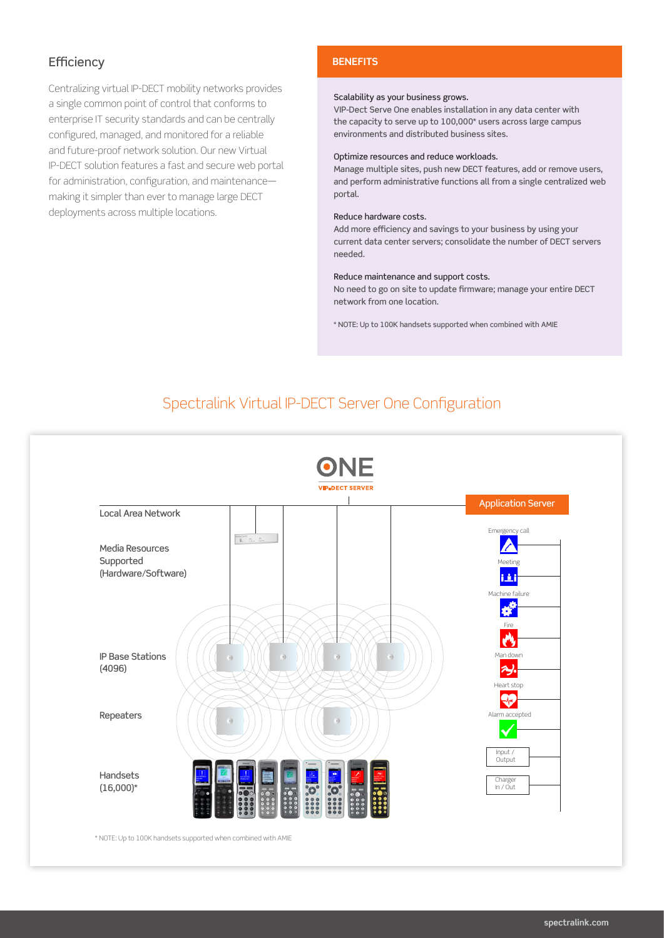## **Efficiency**

Centralizing virtual IP-DECT mobility networks provides a single common point of control that conforms to enterprise IT security standards and can be centrally configured, managed, and monitored for a reliable and future-proof network solution. Our new Virtual IP-DECT solution features a fast and secure web portal for administration, configuration, and maintenance making it simpler than ever to manage large DECT deployments across multiple locations.

#### **BENEFITS**

#### Scalability as your business grows.

VIP-Dect Serve One enables installation in any data center with the capacity to serve up to 100,000\* users across large campus environments and distributed business sites.

#### Optimize resources and reduce workloads.

Manage multiple sites, push new DECT features, add or remove users, and perform administrative functions all from a single centralized web portal.

#### Reduce hardware costs.

Add more efficiency and savings to your business by using your current data center servers; consolidate the number of DECT servers needed.

#### Reduce maintenance and support costs.

No need to go on site to update firmware; manage your entire DECT network from one location.

\* NOTE: Up to 100K handsets supported when combined with AMIE

## Spectralink Virtual IP-DECT Server One Configuration

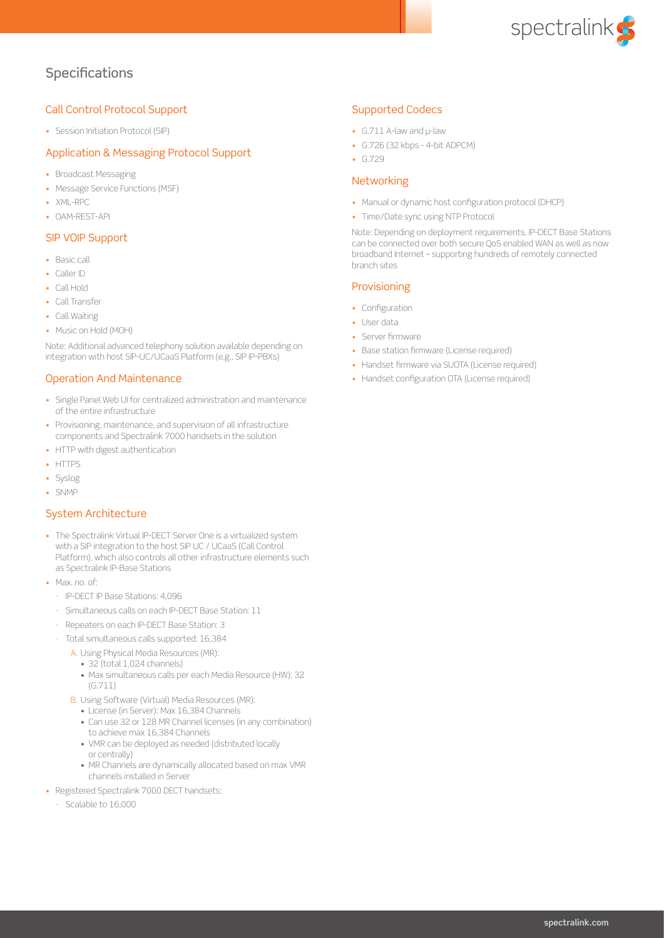

## **Specifications**

#### Call Control Protocol Support

• Session Initiation Protocol (SIP)

#### Application & Messaging Protocol Support

- Broadcast Messaging
- Message Service Functions (MSF)
- XML-RPC
- OAM-REST-API

#### SIP VOIP Support

- Basic call
- Caller ID
- Call Hold
- Call Transfer
- Call Waiting
- Music on Hold (MOH)

Note: Additional advanced telephony solution available depending on integration with host SIP-UC/UCaaS Platform (e.g., SIP IP-PBXs)

#### Operation And Maintenance

- Single Panel Web UI for centralized administration and maintenance of the entire infrastructure
- Provisioning, maintenance, and supervision of all infrastructure components and Spectralink 7000 handsets in the solution
- HTTP with digest authentication
- HTTPS
- Syslog
- SNMP

#### System Architecture

- The Spectralink Virtual IP-DECT Server One is a virtualized system with a SIP integration to the host SIP UC / UCaaS (Call Control Platform), which also controls all other infrastructure elements such as Spectralink IP-Base Stations
- Max no of
	- IP-DECT IP Base Stations: 4,096
	- Simultaneous calls on each IP-DECT Base Station: 11
	- Repeaters on each IP-DECT Base Station: 3
	- Total simultaneous calls supported: 16,384
		- A. Using Physical Media Resources (MR):
			- 32 (total 1,024 channels)
			- Max simultaneous calls per each Media Resource (HW): 32 (G.711)
			- B. Using Software (Virtual) Media Resources (MR):
				- License (in Server): Max 16,384 Channels
				- Can use 32 or 128 MR Channel licenses (in any combination) to achieve max 16,384 Channels
				- VMR can be deployed as needed (distributed locally or centrally)
				- MR Channels are dynamically allocated based on max VMR channels installed in Server
- Registered Spectralink 7000 DECT handsets:
	- Scalable to 16,000

#### Supported Codecs

- G.711 A-law and μ-law
- G.726 (32 kbps 4-bit ADPCM)
- G.729

#### **Networking**

- Manual or dynamic host configuration protocol (DHCP)
- Time/Date sync using NTP Protocol

Note: Depending on deployment requirements, IP-DECT Base Stations can be connected over both secure QoS enabled WAN as well as now broadband Internet – supporting hundreds of remotely connected branch sites

#### **Provisioning**

- Configuration
- User data
- Server firmware
- Base station firmware (License required)
- Handset firmware via SUOTA (License required)
- Handset configuration OTA (License required)